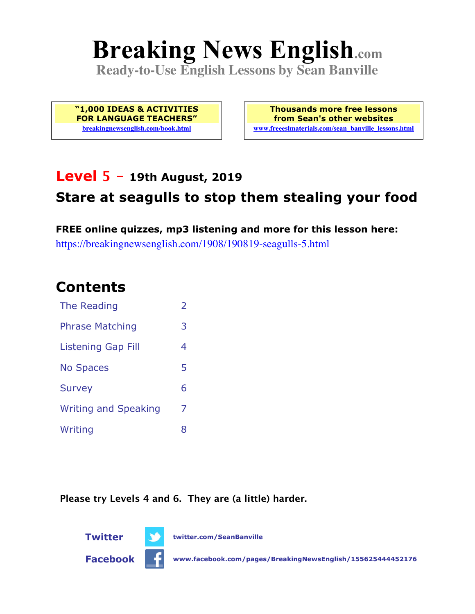# **Breaking News English.com**

**Ready-to-Use English Lessons by Sean Banville**

**"1,000 IDEAS & ACTIVITIES FOR LANGUAGE TEACHERS" breakingnewsenglish.com/book.html**

**Thousands more free lessons from Sean's other websites www.freeeslmaterials.com/sean\_banville\_lessons.html**

## **Level 5 - 19th August, 2019**

## **Stare at seagulls to stop them stealing your food**

**FREE online quizzes, mp3 listening and more for this lesson here:** https://breakingnewsenglish.com/1908/190819-seagulls-5.html

### **Contents**

| The Reading                 | $\overline{2}$ |
|-----------------------------|----------------|
| <b>Phrase Matching</b>      | 3              |
| <b>Listening Gap Fill</b>   | 4              |
| <b>No Spaces</b>            | 5              |
| <b>Survey</b>               | 6              |
| <b>Writing and Speaking</b> | 7              |
| Writing                     | 8              |

**Please try Levels 4 and 6. They are (a little) harder.**

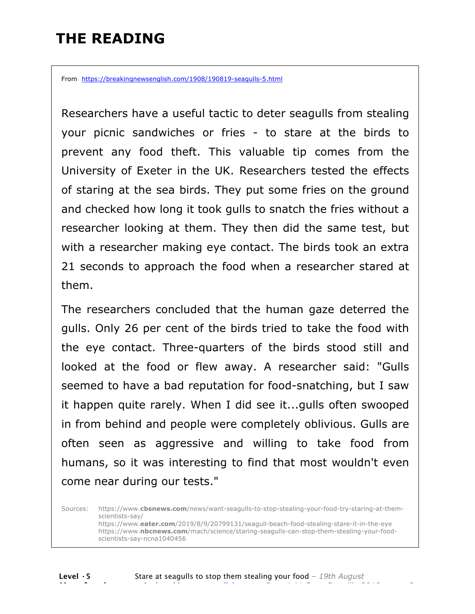# **THE READING**

From https://breakingnewsenglish.com/1908/190819-seagulls-5.html

Researchers have a useful tactic to deter seagulls from stealing your picnic sandwiches or fries - to stare at the birds to prevent any food theft. This valuable tip comes from the University of Exeter in the UK. Researchers tested the effects of staring at the sea birds. They put some fries on the ground and checked how long it took gulls to snatch the fries without a researcher looking at them. They then did the same test, but with a researcher making eye contact. The birds took an extra 21 seconds to approach the food when a researcher stared at them.

The researchers concluded that the human gaze deterred the gulls. Only 26 per cent of the birds tried to take the food with the eye contact. Three-quarters of the birds stood still and looked at the food or flew away. A researcher said: "Gulls seemed to have a bad reputation for food-snatching, but I saw it happen quite rarely. When I did see it...gulls often swooped in from behind and people were completely oblivious. Gulls are often seen as aggressive and willing to take food from humans, so it was interesting to find that most wouldn't even come near during our tests."

Sources: https://www.**cbsnews.com**/news/want-seagulls-to-stop-stealing-your-food-try-staring-at-themscientists-say/ https://www.**eater.com**/2019/8/9/20799131/seagull-beach-food-stealing-stare-it-in-the-eye https://www.**nbcnews.com**/mach/science/staring-seagulls-can-stop-them-stealing-your-foodscientists-say-ncna1040456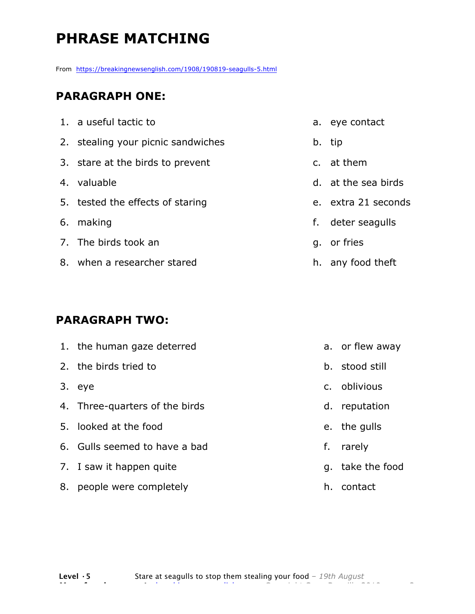# **PHRASE MATCHING**

From https://breakingnewsenglish.com/1908/190819-seagulls-5.html

#### **PARAGRAPH ONE:**

| 1. a useful tactic to              | a. eye contact      |
|------------------------------------|---------------------|
| 2. stealing your picnic sandwiches | b. tip              |
| 3. stare at the birds to prevent   | c. at them          |
| 4. valuable                        | d. at the sea birds |
| 5. tested the effects of staring   | e. extra 21 seconds |
| 6. making                          | f. deter seagulls   |
| 7. The birds took an               | q. or fries         |
| 8. when a researcher stared        | h. any food theft   |

#### **PARAGRAPH TWO:**

| 1. the human gaze deterred     | a. or flew away  |
|--------------------------------|------------------|
| 2. the birds tried to          | b. stood still   |
| 3. eye                         | c. oblivious     |
| 4. Three-quarters of the birds | d. reputation    |
| 5. looked at the food          | e. the gulls     |
| 6. Gulls seemed to have a bad  | f. rarely        |
| 7. I saw it happen quite       | g. take the food |
| 8. people were completely      | h. contact       |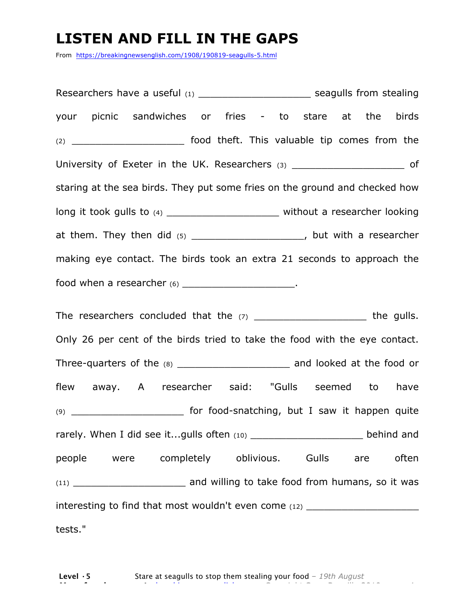# **LISTEN AND FILL IN THE GAPS**

From https://breakingnewsenglish.com/1908/190819-seagulls-5.html

Researchers have a useful (1) example a seagulls from stealing your picnic sandwiches or fries - to stare at the birds (2) \_\_\_\_\_\_\_\_\_\_\_\_\_\_\_\_\_\_\_ food theft. This valuable tip comes from the University of Exeter in the UK. Researchers (3) \_\_\_\_\_\_\_\_\_\_\_\_\_\_\_\_\_\_\_\_\_\_\_\_\_ of staring at the sea birds. They put some fries on the ground and checked how long it took gulls to (4) \_\_\_\_\_\_\_\_\_\_\_\_\_\_\_\_\_\_\_\_\_\_\_\_ without a researcher looking at them. They then did  $(5)$  \_\_\_\_\_\_\_\_\_\_\_\_\_\_\_\_\_\_\_\_\_, but with a researcher making eye contact. The birds took an extra 21 seconds to approach the food when a researcher  $(6)$  \_\_\_\_\_\_\_\_\_\_\_\_\_\_\_\_\_\_\_\_\_\_. The researchers concluded that the  $(7)$  and  $(7)$  the gulls. Only 26 per cent of the birds tried to take the food with the eye contact. Three-quarters of the (8) \_\_\_\_\_\_\_\_\_\_\_\_\_\_\_\_\_\_\_\_\_\_\_\_\_ and looked at the food or flew away. A researcher said: "Gulls seemed to have (9) **the food-snatching, but I saw it happen quite** rarely. When I did see it...gulls often (10) \_\_\_\_\_\_\_\_\_\_\_\_\_\_\_\_\_\_\_\_\_\_\_\_\_ behind and people were completely oblivious. Gulls are often (11) **Example 2 and willing to take food from humans, so it was** interesting to find that most wouldn't even come (12) \_\_\_\_\_\_\_\_\_\_\_\_\_\_\_\_\_\_\_\_\_\_\_\_\_\_ tests."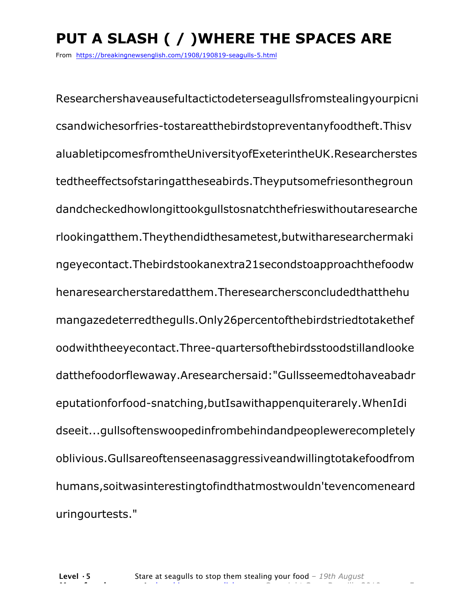# **PUT A SLASH ( / )WHERE THE SPACES ARE**

From https://breakingnewsenglish.com/1908/190819-seagulls-5.html

Researchershaveausefultactictodeterseagullsfromstealingyourpicni csandwichesorfries-tostareatthebirdstopreventanyfoodtheft.Thisv aluabletipcomesfromtheUniversityofExeterintheUK.Researcherstes tedtheeffectsofstaringattheseabirds.Theyputsomefriesonthegroun dandcheckedhowlongittookgullstosnatchthefrieswithoutaresearche rlookingatthem.Theythendidthesametest,butwitharesearchermaki ngeyecontact.Thebirdstookanextra21secondstoapproachthefoodw henaresearcherstaredatthem.Theresearchersconcludedthatthehu mangazedeterredthegulls.Only26percentofthebirdstriedtotakethef oodwiththeeyecontact.Three-quartersofthebirdsstoodstillandlooke datthefoodorflewaway.Aresearchersaid:"Gullsseemedtohaveabadr eputationforfood-snatching,butIsawithappenquiterarely.WhenIdi dseeit...gullsoftenswoopedinfrombehindandpeoplewerecompletely oblivious.Gullsareoftenseenasaggressiveandwillingtotakefoodfrom humans,soitwasinterestingtofindthatmostwouldn'tevencomeneard uringourtests."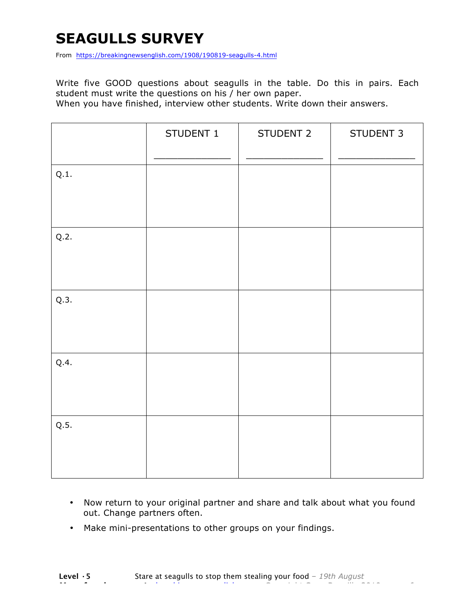# **SEAGULLS SURVEY**

From https://breakingnewsenglish.com/1908/190819-seagulls-4.html

Write five GOOD questions about seagulls in the table. Do this in pairs. Each student must write the questions on his / her own paper.

When you have finished, interview other students. Write down their answers.

|      | STUDENT 1 | STUDENT 2 | STUDENT 3 |
|------|-----------|-----------|-----------|
| Q.1. |           |           |           |
| Q.2. |           |           |           |
| Q.3. |           |           |           |
| Q.4. |           |           |           |
| Q.5. |           |           |           |

- Now return to your original partner and share and talk about what you found out. Change partners often.
- Make mini-presentations to other groups on your findings.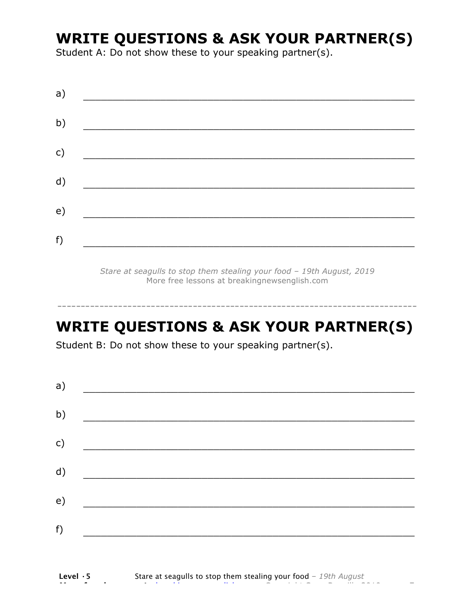# **WRITE QUESTIONS & ASK YOUR PARTNER(S)**

Student A: Do not show these to your speaking partner(s).

| a) |  |  |
|----|--|--|
| b) |  |  |
| c) |  |  |
| d) |  |  |
| e) |  |  |
| f) |  |  |
|    |  |  |

*Stare at seagulls to stop them stealing your food – 19th August, 2019* More free lessons at breakingnewsenglish.com

# **WRITE QUESTIONS & ASK YOUR PARTNER(S)**

-----------------------------------------------------------------------------

Student B: Do not show these to your speaking partner(s).

| a)            |  |  |
|---------------|--|--|
| b)            |  |  |
| $\mathsf{c})$ |  |  |
| d)            |  |  |
| e)            |  |  |
| f)            |  |  |
|               |  |  |